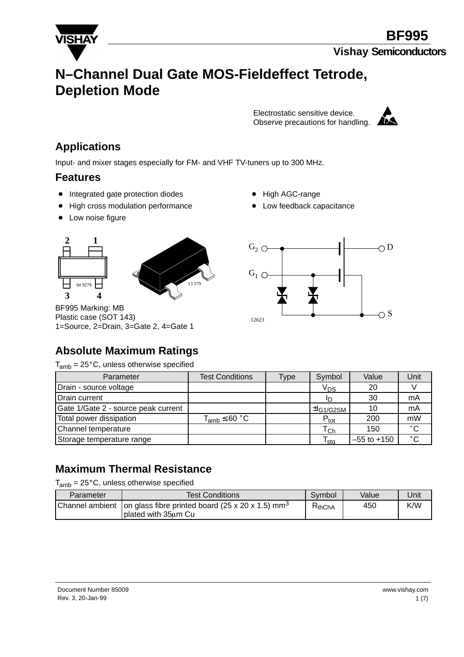

# **N–Channel Dual Gate MOS-Fieldeffect Tetrode, Depletion Mode**

Electrostatic sensitive device. Observe precautions for handling.



### **Applications**

Input- and mixer stages especially for FM- and VHF TV-tuners up to 300 MHz.

#### **Features**

- Integrated gate protection diodes
- High cross modulation performance
- Low noise figure
- **2 1 3 4** 94 9279



BF995 Marking: MB Plastic case (SOT 143) 1=Source, 2=Drain, 3=Gate 2, 4=Gate 1

- High AGC-range
- Low feedback capacitance



# **Absolute Maximum Ratings**

 $T_{amb}$  = 25 $^{\circ}$ C, unless otherwise specified

| Parameter                           | <b>Test Conditions</b> | Type | Symbol                                              | Value           | Unit         |
|-------------------------------------|------------------------|------|-----------------------------------------------------|-----------------|--------------|
| Drain - source voltage              |                        |      | V <sub>DS</sub>                                     | 20              |              |
| Drain current                       |                        |      |                                                     | 30              | mA           |
| Gate 1/Gate 2 - source peak current |                        |      | $\pm$ <sup>L</sup> G <sub>1</sub> /G <sub>2SM</sub> | 10              | mA           |
| Total power dissipation             | $T_{amb} \leq 60 °C$   |      | $P_{\text{tot}}$                                    | 200             | mW           |
| Channel temperature                 |                        |      | $\mathsf{T}_{\mathsf{Ch}}$                          | 150             | $^{\circ}$ C |
| Storage temperature range           |                        |      | $\mathsf{T}_{\mathsf{sta}}$                         | $-55$ to $+150$ | $^{\circ}$ C |

#### **Maximum Thermal Resistance**

 $T_{amb}$  = 25 $^{\circ}$ C, unless otherwise specified

| Parameter | <b>Test Conditions</b>                                                                                  | Symbol      | Value | Jnit |
|-----------|---------------------------------------------------------------------------------------------------------|-------------|-------|------|
|           | Channel ambient   on glass fibre printed board (25 x 20 x 1.5) mm <sup>3</sup><br>I plated with 35um Cu | $R_{thChA}$ | 450   | K/W  |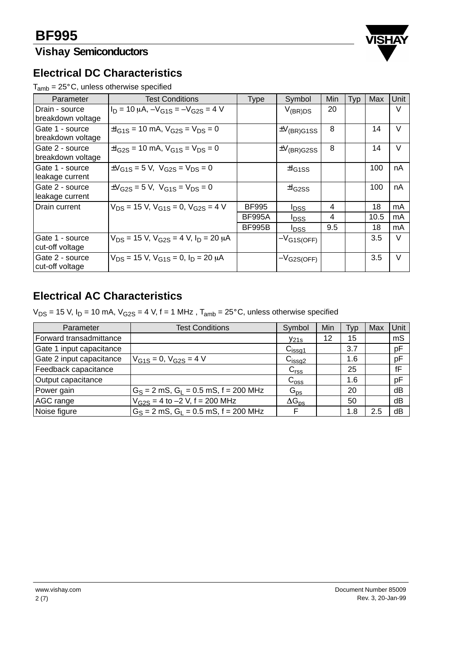# **Vishay Semiconductors**



#### **Electrical DC Characteristics**

 $T_{amb} = 25^{\circ}$ C, unless otherwise specified

| Parameter                            | <b>Test Conditions</b>                                      | <b>Type</b>   | Symbol                    | Min | Typ | Max  | Unit   |
|--------------------------------------|-------------------------------------------------------------|---------------|---------------------------|-----|-----|------|--------|
| Drain - source<br>breakdown voltage  | $I_D = 10 \mu A$ , $-V_{G1S} = -V_{G2S} = 4 V$              |               | $V_{(BR)DS}$              | 20  |     |      | V      |
| Gate 1 - source<br>breakdown voltage | $\pm I_{G1S}$ = 10 mA, $V_{G2S}$ = $V_{DS}$ = 0             |               | $\pm V_{\text{(BR)}G1SS}$ | 8   |     | 14   | V      |
| Gate 2 - source<br>breakdown voltage | $\pm I_{\rm G2S}$ = 10 mA, $V_{\rm G1S}$ = $V_{\rm DS}$ = 0 |               | $\pm V_{\text{(BR)}G2SS}$ | 8   |     | 14   | $\vee$ |
| Gate 1 - source<br>leakage current   | $\pm V_{G1S} = 5 V$ , $V_{G2S} = V_{DS} = 0$                |               | $\pm$ I <sub>G1SS</sub>   |     |     | 100  | nA     |
| Gate 2 - source<br>leakage current   | $\pm V_{G2S} = 5 V$ , $V_{G1S} = V_{DS} = 0$                |               | $H_{G2SS}$                |     |     | 100  | nA     |
| Drain current                        | $V_{DS}$ = 15 V, $V_{G1S}$ = 0, $V_{G2S}$ = 4 V             | <b>BF995</b>  | <b>IDSS</b>               | 4   |     | 18   | mA     |
|                                      |                                                             | <b>BF995A</b> | <b>IDSS</b>               | 4   |     | 10.5 | mA     |
|                                      |                                                             | <b>BF995B</b> | <b>IDSS</b>               | 9.5 |     | 18   | mA     |
| Gate 1 - source<br>cut-off voltage   | $V_{DS}$ = 15 V, $V_{G2S}$ = 4 V, $I_D$ = 20 µA             |               | $-V_{G1S(OFF)}$           |     |     | 3.5  | $\vee$ |
| Gate 2 - source<br>cut-off voltage   | $V_{DS}$ = 15 V, $V_{G1S}$ = 0, $I_D$ = 20 $\mu$ A          |               | $-V$ G2S(OFF)             |     |     | 3.5  | $\vee$ |

## **Electrical AC Characteristics**

 $V_{DS}$  = 15 V, I<sub>D</sub> = 10 mA,  $V_{G2S}$  = 4 V, f = 1 MHz, T<sub>amb</sub> = 25°C, unless otherwise specified

| Parameter                | <b>Test Conditions</b>                      | Symbol             | Min | Typ | Max | Unit |
|--------------------------|---------------------------------------------|--------------------|-----|-----|-----|------|
| Forward transadmittance  |                                             | $y_{21s}$          | 12  | 15  |     | mS   |
| Gate 1 input capacitance |                                             | C <sub>issg1</sub> |     | 3.7 |     | pF   |
| Gate 2 input capacitance | $V_{G1S} = 0$ , $V_{G2S} = 4$ V             | C <sub>issg2</sub> |     | 1.6 |     | pF   |
| Feedback capacitance     |                                             | C <sub>rss</sub>   |     | 25  |     | fF   |
| Output capacitance       |                                             | $C_{\text{oss}}$   |     | 1.6 |     | pF   |
| Power gain               | $G_S = 2$ mS, $G_I = 0.5$ mS, $f = 200$ MHz | $G_{\text{ps}}$    |     | 20  |     | dB   |
| <b>AGC</b> range         | $V_{G2S} = 4$ to $-2$ V, f = 200 MHz        | $\Delta G_{DS}$    |     | 50  |     | dB   |
| Noise figure             | $G_S = 2$ mS, $G_I = 0.5$ mS, $f = 200$ MHz | F                  |     | 1.8 | 2.5 | dB   |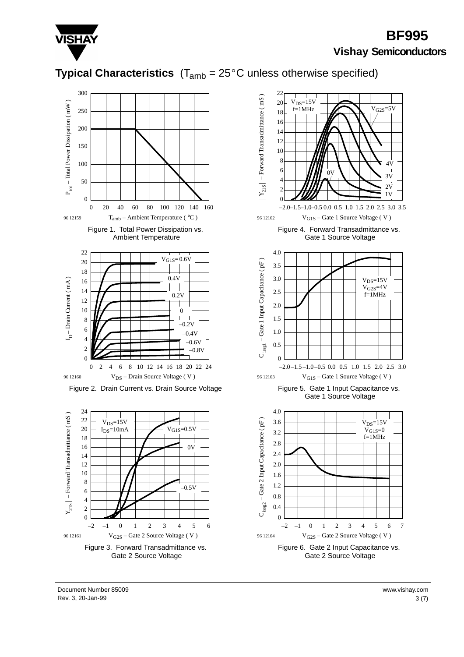

# **Typical Characteristics**  $(T_{amb} = 25^{\circ}C$  unless otherwise specified)









Rev. 3, 20-Jan-99 3 (7) Document Number 85009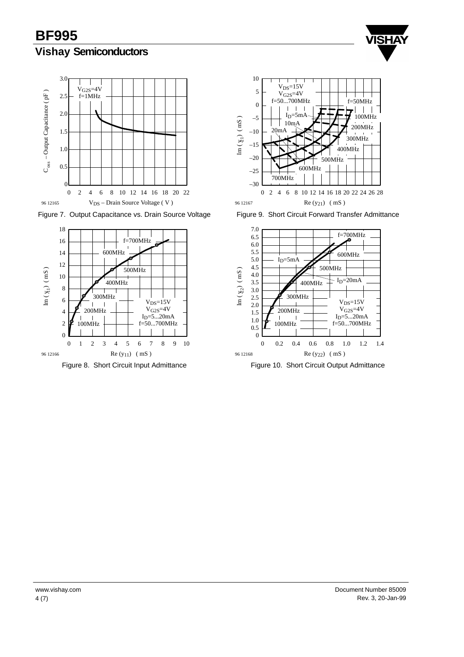



Figure 7. Output Capacitance vs. Drain Source Voltage



Figure 8. Short Circuit Input Admittance



Figure 9. Short Circuit Forward Transfer Admittance



Figure 10. Short Circuit Output Admittance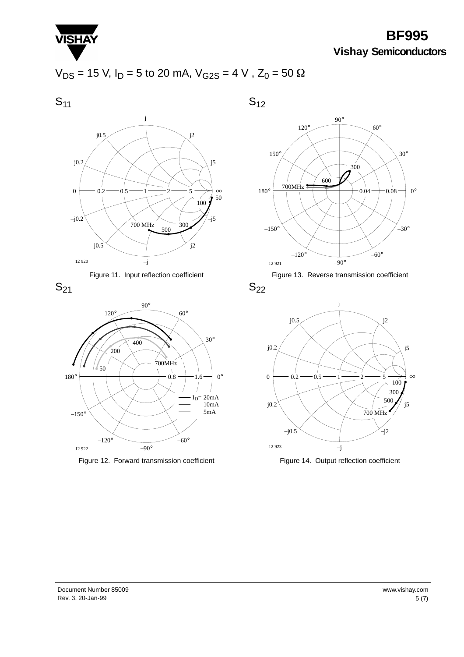

**BF995**

# **Vishay Semiconductors**

$$
V_{DS} = 15
$$
 V,  $I_D = 5$  to 20 mA,  $V_{G2S} = 4$  V,  $Z_0 = 50$  Ω

 $S_{11}$ 

 $S_{12}$ 









Figure 12. Forward transmission coefficient





 $S_{22}$ 



Figure 14. Output reflection coefficient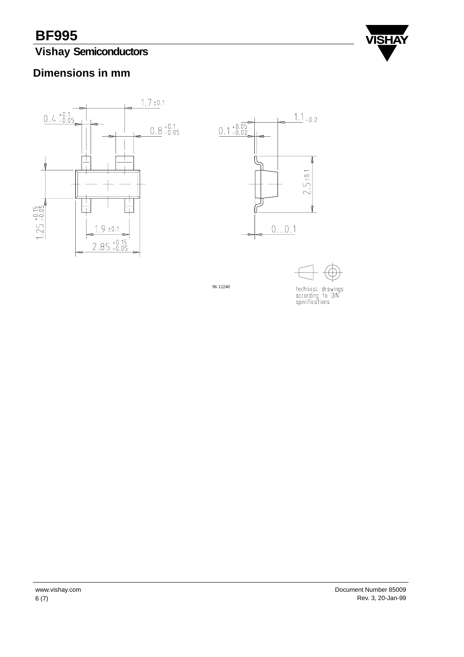# **Vishay Semiconductors**



#### **Dimensions in mm**



96 12240

technical drawings<br>according to DIN<br>specifications